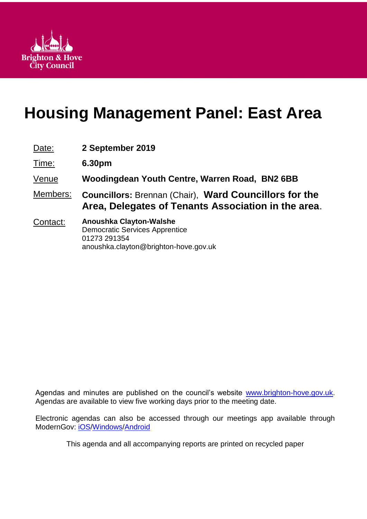

# **Housing Management Panel: East Area**

| Date:    | 2 September 2019                                                                                                          |
|----------|---------------------------------------------------------------------------------------------------------------------------|
| Time:    | 6.30pm                                                                                                                    |
| Venue    | Woodingdean Youth Centre, Warren Road, BN2 6BB                                                                            |
| Members: | <b>Councillors: Brennan (Chair), Ward Councillors for the</b><br>Area, Delegates of Tenants Association in the area.      |
| Contact: | Anoushka Clayton-Walshe<br><b>Democratic Services Apprentice</b><br>01273 291354<br>anoushka.clayton@brighton-hove.gov.uk |

Agendas and minutes are published on the council's website [www.brighton-hove.gov.uk.](http://www.brighton-hove.gov.uk/) Agendas are available to view five working days prior to the meeting date.

Electronic agendas can also be accessed through our meetings app available through ModernGov: [iOS](https://play.google.com/store/apps/details?id=uk.co.moderngov.modgov&hl=en_GB)[/Windows/](https://www.microsoft.com/en-gb/p/modgov/9nblggh0c7s7#activetab=pivot:overviewtab)[Android](https://play.google.com/store/apps/details?id=uk.co.moderngov.modgov&hl=en_GB)

This agenda and all accompanying reports are printed on recycled paper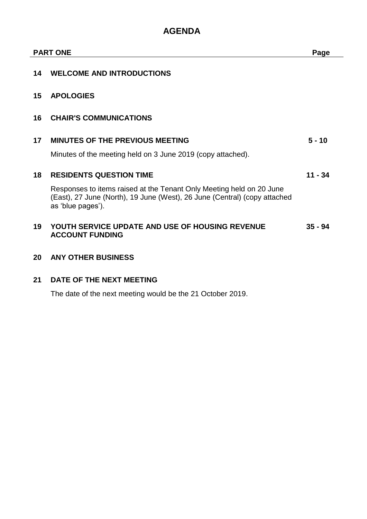# **AGENDA**

|    | <b>PART ONE</b>                                                                                                                                                        |           |
|----|------------------------------------------------------------------------------------------------------------------------------------------------------------------------|-----------|
| 14 | <b>WELCOME AND INTRODUCTIONS</b>                                                                                                                                       |           |
| 15 | <b>APOLOGIES</b>                                                                                                                                                       |           |
| 16 | <b>CHAIR'S COMMUNICATIONS</b>                                                                                                                                          |           |
| 17 | <b>MINUTES OF THE PREVIOUS MEETING</b>                                                                                                                                 | $5 - 10$  |
|    | Minutes of the meeting held on 3 June 2019 (copy attached).                                                                                                            |           |
| 18 | <b>RESIDENTS QUESTION TIME</b>                                                                                                                                         | $11 - 34$ |
|    | Responses to items raised at the Tenant Only Meeting held on 20 June<br>(East), 27 June (North), 19 June (West), 26 June (Central) (copy attached<br>as 'blue pages'). |           |
| 19 | YOUTH SERVICE UPDATE AND USE OF HOUSING REVENUE<br><b>ACCOUNT FUNDING</b>                                                                                              | $35 - 94$ |
| 20 | <b>ANY OTHER BUSINESS</b>                                                                                                                                              |           |

# **21 DATE OF THE NEXT MEETING**

The date of the next meeting would be the 21 October 2019.